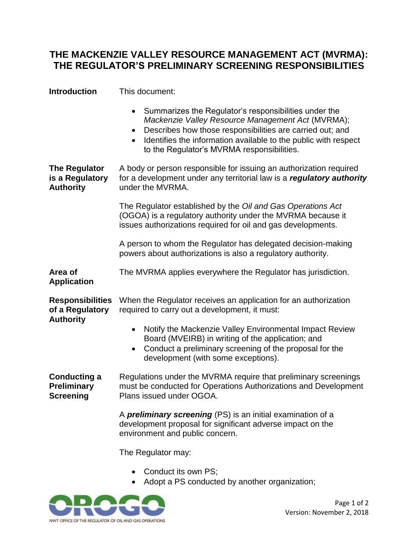## **THE MACKENZIE VALLEY RESOURCE MANAGEMENT ACT (MVRMA): THE REGULATOR'S PRELIMINARY SCREENING RESPONSIBILITIES**

| <b>Introduction</b>                                            | This document:                                                                                                                                                                                                                                                                                                                  |
|----------------------------------------------------------------|---------------------------------------------------------------------------------------------------------------------------------------------------------------------------------------------------------------------------------------------------------------------------------------------------------------------------------|
|                                                                | Summarizes the Regulator's responsibilities under the<br>$\bullet$<br>Mackenzie Valley Resource Management Act (MVRMA);<br>Describes how those responsibilities are carried out; and<br>$\bullet$<br>Identifies the information available to the public with respect<br>$\bullet$<br>to the Regulator's MVRMA responsibilities. |
| <b>The Regulator</b><br>is a Regulatory<br><b>Authority</b>    | A body or person responsible for issuing an authorization required<br>for a development under any territorial law is a regulatory authority<br>under the MVRMA.                                                                                                                                                                 |
|                                                                | The Regulator established by the Oil and Gas Operations Act<br>(OGOA) is a regulatory authority under the MVRMA because it<br>issues authorizations required for oil and gas developments.                                                                                                                                      |
|                                                                | A person to whom the Regulator has delegated decision-making<br>powers about authorizations is also a regulatory authority.                                                                                                                                                                                                     |
| Area of<br><b>Application</b>                                  | The MVRMA applies everywhere the Regulator has jurisdiction.                                                                                                                                                                                                                                                                    |
| <b>Responsibilities</b><br>of a Regulatory<br><b>Authority</b> | When the Regulator receives an application for an authorization<br>required to carry out a development, it must:                                                                                                                                                                                                                |
|                                                                | Notify the Mackenzie Valley Environmental Impact Review<br>$\bullet$<br>Board (MVEIRB) in writing of the application; and<br>Conduct a preliminary screening of the proposal for the<br>development (with some exceptions).                                                                                                     |
| <b>Conducting a</b><br><b>Preliminary</b><br>Screening         | Regulations under the MVRMA require that preliminary screenings<br>must be conducted for Operations Authorizations and Development<br>Plans issued under OGOA.                                                                                                                                                                  |
|                                                                | A <b>preliminary screening</b> (PS) is an initial examination of a<br>development proposal for significant adverse impact on the<br>environment and public concern.                                                                                                                                                             |
|                                                                | The Regulator may:                                                                                                                                                                                                                                                                                                              |
|                                                                | Conduct its own PS;                                                                                                                                                                                                                                                                                                             |

• Adopt a PS conducted by another organization;